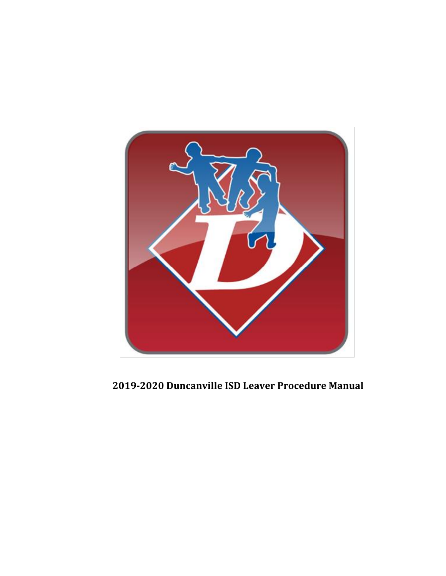

**2019-2020 Duncanville ISD Leaver Procedure Manual**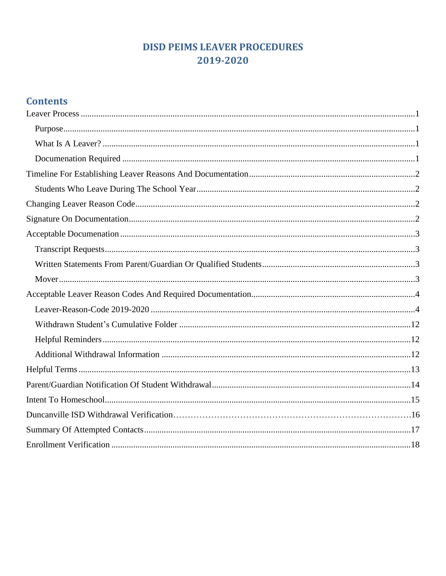# **DISD PEIMS LEAVER PROCEDURES** 2019-2020

# **Contents**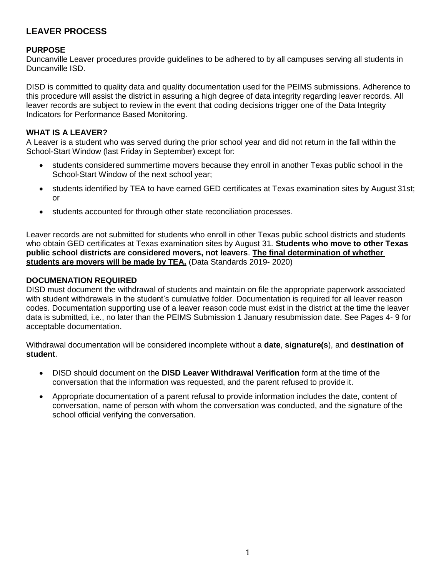## <span id="page-2-0"></span>**LEAVER PROCESS**

#### <span id="page-2-1"></span>**PURPOSE**

Duncanville Leaver procedures provide guidelines to be adhered to by all campuses serving all students in Duncanville ISD.

DISD is committed to quality data and quality documentation used for the PEIMS submissions. Adherence to this procedure will assist the district in assuring a high degree of data integrity regarding leaver records. All leaver records are subject to review in the event that coding decisions trigger one of the Data Integrity Indicators for Performance Based Monitoring.

#### <span id="page-2-2"></span>**WHAT IS A LEAVER?**

A Leaver is a student who was served during the prior school year and did not return in the fall within the School-Start Window (last Friday in September) except for:

- students considered summertime movers because they enroll in another Texas public school in the School-Start Window of the next school year;
- students identified by TEA to have earned GED certificates at Texas examination sites by August 31st; or
- students accounted for through other state reconciliation processes.

Leaver records are not submitted for students who enroll in other Texas public school districts and students who obtain GED certificates at Texas examination sites by August 31. **Students who move to other Texas public school districts are considered movers, not leavers**. **The final determination of whether students are movers will be made by TEA.** (Data Standards 2019- 2020)

#### <span id="page-2-3"></span>**DOCUMENATION REQUIRED**

DISD must document the withdrawal of students and maintain on file the appropriate paperwork associated with student withdrawals in the student's cumulative folder. Documentation is required for all leaver reason codes. Documentation supporting use of a leaver reason code must exist in the district at the time the leaver data is submitted, i.e., no later than the PEIMS Submission 1 January resubmission date. See Pages 4- 9 for acceptable documentation.

Withdrawal documentation will be considered incomplete without a **date**, **signature(s**), and **destination of student**.

- DISD should document on the **DISD Leaver Withdrawal Verification** form at the time of the conversation that the information was requested, and the parent refused to provide it.
- Appropriate documentation of a parent refusal to provide information includes the date, content of conversation, name of person with whom the conversation was conducted, and the signature of the school official verifying the conversation.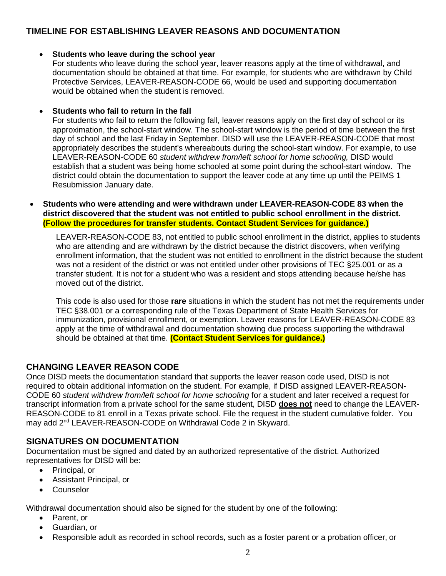## <span id="page-3-1"></span><span id="page-3-0"></span>**TIMELINE FOR ESTABLISHING LEAVER REASONS AND DOCUMENTATION**

#### **Students who leave during the school year**

For students who leave during the school year, leaver reasons apply at the time of withdrawal, and documentation should be obtained at that time. For example, for students who are withdrawn by Child Protective Services, LEAVER-REASON-CODE 66, would be used and supporting documentation would be obtained when the student is removed.

#### **Students who fail to return in the fall**

For students who fail to return the following fall, leaver reasons apply on the first day of school or its approximation, the school-start window. The school-start window is the period of time between the first day of school and the last Friday in September. DISD will use the LEAVER-REASON-CODE that most appropriately describes the student's whereabouts during the school-start window. For example, to use LEAVER-REASON-CODE 60 *student withdrew from/left school for home schooling,* DISD would establish that a student was being home schooled at some point during the school-start window. The district could obtain the documentation to support the leaver code at any time up until the PEIMS 1 Resubmission January date.

 **Students who were attending and were withdrawn under LEAVER-REASON-CODE 83 when the district discovered that the student was not entitled to public school enrollment in the district. (Follow the procedures for transfer students. Contact Student Services for guidance.)**

LEAVER-REASON-CODE 83, not entitled to public school enrollment in the district, applies to students who are attending and are withdrawn by the district because the district discovers, when verifying enrollment information, that the student was not entitled to enrollment in the district because the student was not a resident of the district or was not entitled under other provisions of TEC §25.001 or as a transfer student. It is not for a student who was a resident and stops attending because he/she has moved out of the district.

This code is also used for those **rare** situations in which the student has not met the requirements under TEC §38.001 or a corresponding rule of the Texas Department of State Health Services for immunization, provisional enrollment, or exemption. Leaver reasons for LEAVER-REASON-CODE 83 apply at the time of withdrawal and documentation showing due process supporting the withdrawal should be obtained at that time. **(Contact Student Services for guidance.)**

## <span id="page-3-2"></span>**CHANGING LEAVER REASON CODE**

Once DISD meets the documentation standard that supports the leaver reason code used, DISD is not required to obtain additional information on the student. For example, if DISD assigned LEAVER-REASON-CODE 60 *student withdrew from/left school for home schooling* for a student and later received a request for transcript information from a private school for the same student, DISD **does not** need to change the LEAVER-REASON-CODE to 81 enroll in a Texas private school. File the request in the student cumulative folder. You may add 2<sup>nd</sup> LEAVER-REASON-CODE on Withdrawal Code 2 in Skyward.

#### <span id="page-3-3"></span>**SIGNATURES ON DOCUMENTATION**

Documentation must be signed and dated by an authorized representative of the district. Authorized representatives for DISD will be:

- Principal, or
- Assistant Principal, or
- Counselor

Withdrawal documentation should also be signed for the student by one of the following:

- Parent, or
- Guardian, or
- Responsible adult as recorded in school records, such as a foster parent or a probation officer, or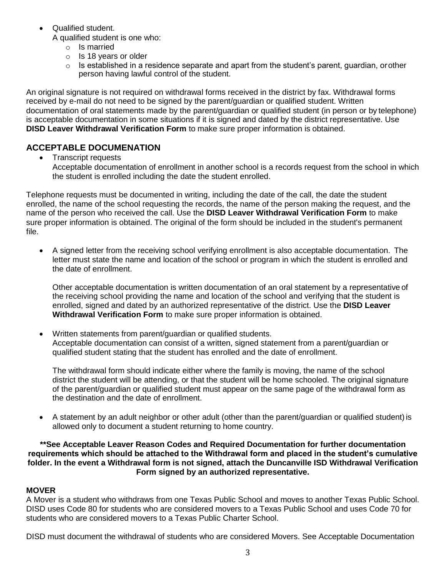Qualified student.

A qualified student is one who:

- o Is married
- o Is 18 years or older
- $\circ$  Is established in a residence separate and apart from the student's parent, guardian, or other person having lawful control of the student.

An original signature is not required on withdrawal forms received in the district by fax. Withdrawal forms received by e-mail do not need to be signed by the parent/guardian or qualified student. Written documentation of oral statements made by the parent/guardian or qualified student (in person or by telephone) is acceptable documentation in some situations if it is signed and dated by the district representative. Use **DISD Leaver Withdrawal Verification Form** to make sure proper information is obtained.

## <span id="page-4-1"></span><span id="page-4-0"></span>**ACCEPTABLE DOCUMENATION**

• Transcript requests

Acceptable documentation of enrollment in another school is a records request from the school in which the student is enrolled including the date the student enrolled.

Telephone requests must be documented in writing, including the date of the call, the date the student enrolled, the name of the school requesting the records, the name of the person making the request, and the name of the person who received the call. Use the **DISD Leaver Withdrawal Verification Form** to make sure proper information is obtained. The original of the form should be included in the student's permanent file.

 A signed letter from the receiving school verifying enrollment is also acceptable documentation. The letter must state the name and location of the school or program in which the student is enrolled and the date of enrollment.

Other acceptable documentation is written documentation of an oral statement by a representative of the receiving school providing the name and location of the school and verifying that the student is enrolled, signed and dated by an authorized representative of the district. Use the **DISD Leaver Withdrawal Verification Form** to make sure proper information is obtained.

<span id="page-4-2"></span> Written statements from parent/guardian or qualified students. Acceptable documentation can consist of a written, signed statement from a parent/guardian or qualified student stating that the student has enrolled and the date of enrollment.

The withdrawal form should indicate either where the family is moving, the name of the school district the student will be attending, or that the student will be home schooled. The original signature of the parent/guardian or qualified student must appear on the same page of the withdrawal form as the destination and the date of enrollment.

 A statement by an adult neighbor or other adult (other than the parent/guardian or qualified student)is allowed only to document a student returning to home country.

#### **\*\*See Acceptable Leaver Reason Codes and Required Documentation for further documentation requirements which should be attached to the Withdrawal form and placed in the student's cumulative folder. In the event a Withdrawal form is not signed, attach the Duncanville ISD Withdrawal Verification Form signed by an authorized representative.**

#### <span id="page-4-3"></span>**MOVER**

A Mover is a student who withdraws from one Texas Public School and moves to another Texas Public School. DISD uses Code 80 for students who are considered movers to a Texas Public School and uses Code 70 for students who are considered movers to a Texas Public Charter School.

DISD must document the withdrawal of students who are considered Movers. See Acceptable Documentation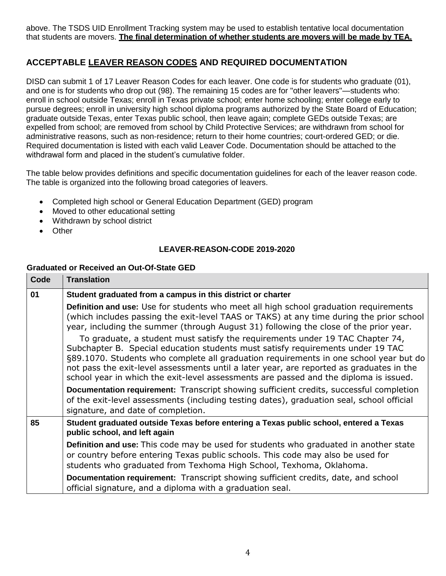above. The TSDS UID Enrollment Tracking system may be used to establish tentative local documentation that students are movers. **The final determination of whether students are movers will be made by TEA.**

## <span id="page-5-0"></span>**ACCEPTABLE LEAVER REASON CODES AND REQUIRED DOCUMENTATION**

DISD can submit 1 of 17 Leaver Reason Codes for each leaver. One code is for students who graduate (01), and one is for students who drop out (98). The remaining 15 codes are for "other leavers"—students who: enroll in school outside Texas; enroll in Texas private school; enter home schooling; enter college early to pursue degrees; enroll in university high school diploma programs authorized by the State Board of Education; graduate outside Texas, enter Texas public school, then leave again; complete GEDs outside Texas; are expelled from school; are removed from school by Child Protective Services; are withdrawn from school for administrative reasons, such as non-residence; return to their home countries; court-ordered GED; or die. Required documentation is listed with each valid Leaver Code. Documentation should be attached to the withdrawal form and placed in the student's cumulative folder.

The table below provides definitions and specific documentation guidelines for each of the leaver reason code. The table is organized into the following broad categories of leavers.

- Completed high school or General Education Department (GED) program
- Moved to other educational setting
- Withdrawn by school district
- Other

#### **LEAVER-REASON-CODE 2019-2020**

#### <span id="page-5-1"></span>**Graduated or Received an Out-Of-State GED**

| Code | <b>Translation</b>                                                                                                                                                                                                                                                                                                                                                                                                                             |  |  |
|------|------------------------------------------------------------------------------------------------------------------------------------------------------------------------------------------------------------------------------------------------------------------------------------------------------------------------------------------------------------------------------------------------------------------------------------------------|--|--|
| 01   | Student graduated from a campus in this district or charter                                                                                                                                                                                                                                                                                                                                                                                    |  |  |
|      | <b>Definition and use:</b> Use for students who meet all high school graduation requirements<br>(which includes passing the exit-level TAAS or TAKS) at any time during the prior school<br>year, including the summer (through August 31) following the close of the prior year.                                                                                                                                                              |  |  |
|      | To graduate, a student must satisfy the requirements under 19 TAC Chapter 74,<br>Subchapter B. Special education students must satisfy requirements under 19 TAC<br>§89.1070. Students who complete all graduation requirements in one school year but do<br>not pass the exit-level assessments until a later year, are reported as graduates in the<br>school year in which the exit-level assessments are passed and the diploma is issued. |  |  |
|      | <b>Documentation requirement:</b> Transcript showing sufficient credits, successful completion<br>of the exit-level assessments (including testing dates), graduation seal, school official<br>signature, and date of completion.                                                                                                                                                                                                              |  |  |
| 85   | Student graduated outside Texas before entering a Texas public school, entered a Texas<br>public school, and left again                                                                                                                                                                                                                                                                                                                        |  |  |
|      | <b>Definition and use:</b> This code may be used for students who graduated in another state<br>or country before entering Texas public schools. This code may also be used for<br>students who graduated from Texhoma High School, Texhoma, Oklahoma.                                                                                                                                                                                         |  |  |
|      | Documentation requirement: Transcript showing sufficient credits, date, and school<br>official signature, and a diploma with a graduation seal.                                                                                                                                                                                                                                                                                                |  |  |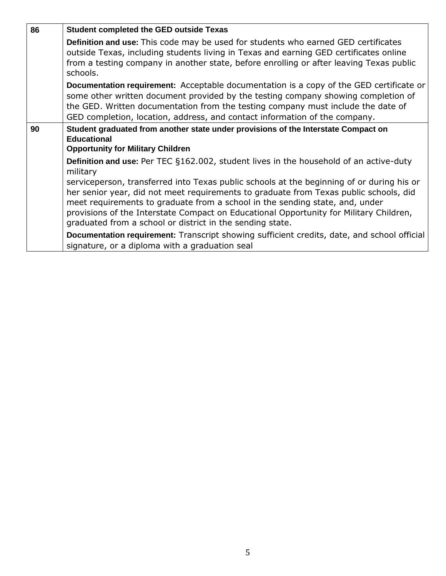| 86 | <b>Student completed the GED outside Texas</b>                                                                                                                                                                                                                                                                                                                                                                                                                                                                                         |  |  |  |
|----|----------------------------------------------------------------------------------------------------------------------------------------------------------------------------------------------------------------------------------------------------------------------------------------------------------------------------------------------------------------------------------------------------------------------------------------------------------------------------------------------------------------------------------------|--|--|--|
|    | Definition and use: This code may be used for students who earned GED certificates<br>outside Texas, including students living in Texas and earning GED certificates online<br>from a testing company in another state, before enrolling or after leaving Texas public<br>schools.                                                                                                                                                                                                                                                     |  |  |  |
|    | Documentation requirement: Acceptable documentation is a copy of the GED certificate or<br>some other written document provided by the testing company showing completion of<br>the GED. Written documentation from the testing company must include the date of<br>GED completion, location, address, and contact information of the company.                                                                                                                                                                                         |  |  |  |
| 90 | Student graduated from another state under provisions of the Interstate Compact on<br><b>Educational</b><br><b>Opportunity for Military Children</b>                                                                                                                                                                                                                                                                                                                                                                                   |  |  |  |
|    | <b>Definition and use:</b> Per TEC §162.002, student lives in the household of an active-duty<br>military<br>serviceperson, transferred into Texas public schools at the beginning of or during his or<br>her senior year, did not meet requirements to graduate from Texas public schools, did<br>meet requirements to graduate from a school in the sending state, and, under<br>provisions of the Interstate Compact on Educational Opportunity for Military Children,<br>graduated from a school or district in the sending state. |  |  |  |
|    | <b>Documentation requirement:</b> Transcript showing sufficient credits, date, and school official<br>signature, or a diploma with a graduation seal                                                                                                                                                                                                                                                                                                                                                                                   |  |  |  |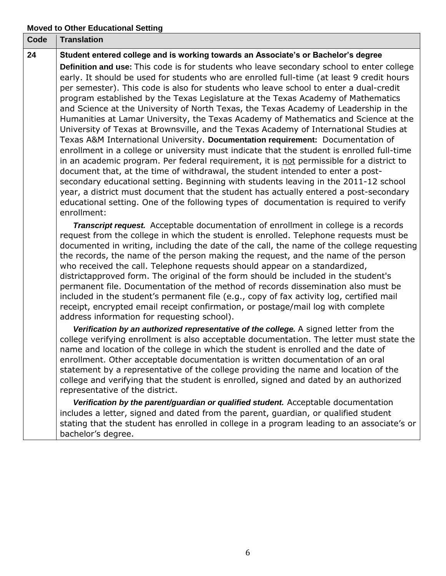## **Moved to Other Educational Setting**

| Code | <b>Translation</b>                                                                                                                                                                                                                                                                                                                                                                                                                                                                                                                                                                                                                                                                                                                                                                                                                                                                                                                                                                                                                                                                                                                                                                                                                                                                                                                                                                          |
|------|---------------------------------------------------------------------------------------------------------------------------------------------------------------------------------------------------------------------------------------------------------------------------------------------------------------------------------------------------------------------------------------------------------------------------------------------------------------------------------------------------------------------------------------------------------------------------------------------------------------------------------------------------------------------------------------------------------------------------------------------------------------------------------------------------------------------------------------------------------------------------------------------------------------------------------------------------------------------------------------------------------------------------------------------------------------------------------------------------------------------------------------------------------------------------------------------------------------------------------------------------------------------------------------------------------------------------------------------------------------------------------------------|
| 24   | Student entered college and is working towards an Associate's or Bachelor's degree<br>Definition and use: This code is for students who leave secondary school to enter college<br>early. It should be used for students who are enrolled full-time (at least 9 credit hours<br>per semester). This code is also for students who leave school to enter a dual-credit<br>program established by the Texas Legislature at the Texas Academy of Mathematics<br>and Science at the University of North Texas, the Texas Academy of Leadership in the<br>Humanities at Lamar University, the Texas Academy of Mathematics and Science at the<br>University of Texas at Brownsville, and the Texas Academy of International Studies at<br>Texas A&M International University. Documentation requirement: Documentation of<br>enrollment in a college or university must indicate that the student is enrolled full-time<br>in an academic program. Per federal requirement, it is not permissible for a district to<br>document that, at the time of withdrawal, the student intended to enter a post-<br>secondary educational setting. Beginning with students leaving in the 2011-12 school<br>year, a district must document that the student has actually entered a post-secondary<br>educational setting. One of the following types of documentation is required to verify<br>enrollment: |
|      | <b>Transcript request.</b> Acceptable documentation of enrollment in college is a records<br>request from the college in which the student is enrolled. Telephone requests must be<br>documented in writing, including the date of the call, the name of the college requesting<br>the records, the name of the person making the request, and the name of the person<br>who received the call. Telephone requests should appear on a standardized,<br>districtapproved form. The original of the form should be included in the student's<br>permanent file. Documentation of the method of records dissemination also must be<br>included in the student's permanent file (e.g., copy of fax activity log, certified mail<br>receipt, encrypted email receipt confirmation, or postage/mail log with complete<br>address information for requesting school).                                                                                                                                                                                                                                                                                                                                                                                                                                                                                                                              |
|      | Verification by an authorized representative of the college. A signed letter from the<br>college verifying enrollment is also acceptable documentation. The letter must state the<br>name and location of the college in which the student is enrolled and the date of<br>enrollment. Other acceptable documentation is written documentation of an oral<br>statement by a representative of the college providing the name and location of the<br>college and verifying that the student is enrolled, signed and dated by an authorized<br>representative of the district.                                                                                                                                                                                                                                                                                                                                                                                                                                                                                                                                                                                                                                                                                                                                                                                                                 |
|      | Verification by the parent/guardian or qualified student. Acceptable documentation<br>includes a letter, signed and dated from the parent, guardian, or qualified student<br>stating that the student has enrolled in college in a program leading to an associate's or<br>bachelor's degree.                                                                                                                                                                                                                                                                                                                                                                                                                                                                                                                                                                                                                                                                                                                                                                                                                                                                                                                                                                                                                                                                                               |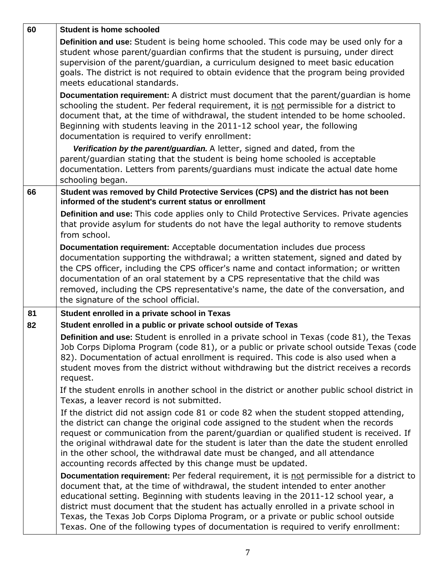| 60 | <b>Student is home schooled</b>                                                                                                                                                                                                                                                                                                                                                                                                                                                                                                           |
|----|-------------------------------------------------------------------------------------------------------------------------------------------------------------------------------------------------------------------------------------------------------------------------------------------------------------------------------------------------------------------------------------------------------------------------------------------------------------------------------------------------------------------------------------------|
|    | Definition and use: Student is being home schooled. This code may be used only for a<br>student whose parent/guardian confirms that the student is pursuing, under direct<br>supervision of the parent/guardian, a curriculum designed to meet basic education<br>goals. The district is not required to obtain evidence that the program being provided<br>meets educational standards.                                                                                                                                                  |
|    | Documentation requirement: A district must document that the parent/quardian is home<br>schooling the student. Per federal requirement, it is not permissible for a district to<br>document that, at the time of withdrawal, the student intended to be home schooled.<br>Beginning with students leaving in the 2011-12 school year, the following<br>documentation is required to verify enrollment:                                                                                                                                    |
|    | Verification by the parent/guardian. A letter, signed and dated, from the<br>parent/guardian stating that the student is being home schooled is acceptable<br>documentation. Letters from parents/guardians must indicate the actual date home<br>schooling began.                                                                                                                                                                                                                                                                        |
| 66 | Student was removed by Child Protective Services (CPS) and the district has not been<br>informed of the student's current status or enrollment                                                                                                                                                                                                                                                                                                                                                                                            |
|    | Definition and use: This code applies only to Child Protective Services. Private agencies<br>that provide asylum for students do not have the legal authority to remove students<br>from school.                                                                                                                                                                                                                                                                                                                                          |
|    | Documentation requirement: Acceptable documentation includes due process<br>documentation supporting the withdrawal; a written statement, signed and dated by<br>the CPS officer, including the CPS officer's name and contact information; or written<br>documentation of an oral statement by a CPS representative that the child was<br>removed, including the CPS representative's name, the date of the conversation, and<br>the signature of the school official.                                                                   |
| 81 | Student enrolled in a private school in Texas<br>Student enrolled in a public or private school outside of Texas                                                                                                                                                                                                                                                                                                                                                                                                                          |
| 82 | Definition and use: Student is enrolled in a private school in Texas (code 81), the Texas<br>Job Corps Diploma Program (code 81), or a public or private school outside Texas (code<br>82). Documentation of actual enrollment is required. This code is also used when a<br>student moves from the district without withdrawing but the district receives a records<br>request.                                                                                                                                                          |
|    | If the student enrolls in another school in the district or another public school district in<br>Texas, a leaver record is not submitted.                                                                                                                                                                                                                                                                                                                                                                                                 |
|    | If the district did not assign code 81 or code 82 when the student stopped attending,<br>the district can change the original code assigned to the student when the records<br>request or communication from the parent/guardian or qualified student is received. If<br>the original withdrawal date for the student is later than the date the student enrolled<br>in the other school, the withdrawal date must be changed, and all attendance<br>accounting records affected by this change must be updated.                          |
|    | Documentation requirement: Per federal requirement, it is not permissible for a district to<br>document that, at the time of withdrawal, the student intended to enter another<br>educational setting. Beginning with students leaving in the 2011-12 school year, a<br>district must document that the student has actually enrolled in a private school in<br>Texas, the Texas Job Corps Diploma Program, or a private or public school outside<br>Texas. One of the following types of documentation is required to verify enrollment: |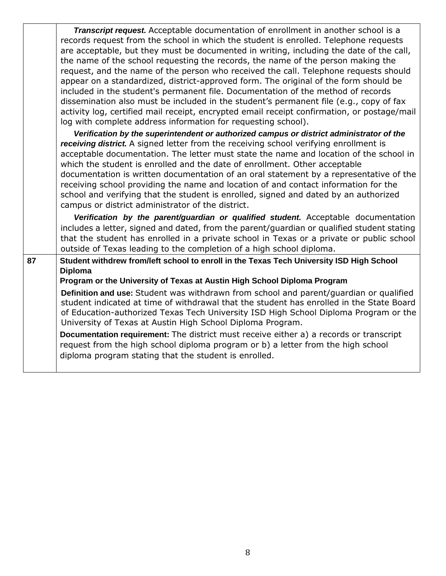*Transcript request.* Acceptable documentation of enrollment in another school is a records request from the school in which the student is enrolled. Telephone requests are acceptable, but they must be documented in writing, including the date of the call, the name of the school requesting the records, the name of the person making the request, and the name of the person who received the call. Telephone requests should appear on a standardized, district-approved form. The original of the form should be included in the student's permanent file. Documentation of the method of records dissemination also must be included in the student's permanent file (e.g., copy of fax activity log, certified mail receipt, encrypted email receipt confirmation, or postage/mail log with complete address information for requesting school).

*Verification by the superintendent or authorized campus or district administrator of the receiving district.* A signed letter from the receiving school verifying enrollment is acceptable documentation. The letter must state the name and location of the school in which the student is enrolled and the date of enrollment. Other acceptable documentation is written documentation of an oral statement by a representative of the receiving school providing the name and location of and contact information for the school and verifying that the student is enrolled, signed and dated by an authorized campus or district administrator of the district.

*Verification by the parent/guardian or qualified student.* Acceptable documentation includes a letter, signed and dated, from the parent/guardian or qualified student stating that the student has enrolled in a private school in Texas or a private or public school outside of Texas leading to the completion of a high school diploma.

## 87 Student withdrew from/left school to enroll in the Texas Tech University ISD High School **Diploma**

**Program or the University of Texas at Austin High School Diploma Program** 

**Definition and use:** Student was withdrawn from school and parent/guardian or qualified student indicated at time of withdrawal that the student has enrolled in the State Board of Education-authorized Texas Tech University ISD High School Diploma Program or the University of Texas at Austin High School Diploma Program.

**Documentation requirement:** The district must receive either a) a records or transcript request from the high school diploma program or b) a letter from the high school diploma program stating that the student is enrolled.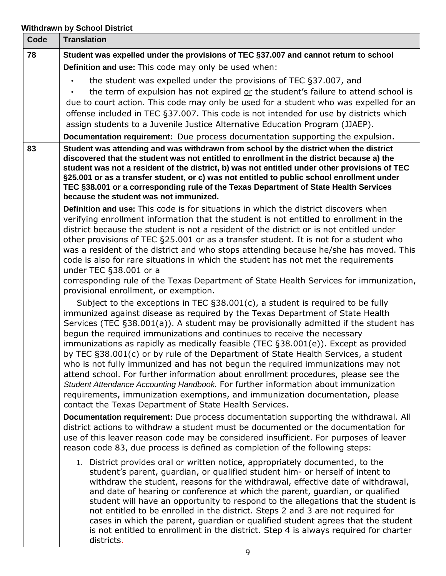## **Withdrawn by School District**

| Code | <b>Translation</b>                                                                                                                                                                                                                                                                                                                                                                                                                                                                                                                                                                                                                                                                                                                                                                                                                                                                                                              |
|------|---------------------------------------------------------------------------------------------------------------------------------------------------------------------------------------------------------------------------------------------------------------------------------------------------------------------------------------------------------------------------------------------------------------------------------------------------------------------------------------------------------------------------------------------------------------------------------------------------------------------------------------------------------------------------------------------------------------------------------------------------------------------------------------------------------------------------------------------------------------------------------------------------------------------------------|
| 78   | Student was expelled under the provisions of TEC §37.007 and cannot return to school                                                                                                                                                                                                                                                                                                                                                                                                                                                                                                                                                                                                                                                                                                                                                                                                                                            |
|      | Definition and use: This code may only be used when:                                                                                                                                                                                                                                                                                                                                                                                                                                                                                                                                                                                                                                                                                                                                                                                                                                                                            |
|      | the student was expelled under the provisions of TEC §37.007, and<br>the term of expulsion has not expired or the student's failure to attend school is<br>due to court action. This code may only be used for a student who was expelled for an<br>offense included in TEC §37.007. This code is not intended for use by districts which<br>assign students to a Juvenile Justice Alternative Education Program (JJAEP).                                                                                                                                                                                                                                                                                                                                                                                                                                                                                                       |
|      | Documentation requirement: Due process documentation supporting the expulsion.                                                                                                                                                                                                                                                                                                                                                                                                                                                                                                                                                                                                                                                                                                                                                                                                                                                  |
| 83   | Student was attending and was withdrawn from school by the district when the district<br>discovered that the student was not entitled to enrollment in the district because a) the<br>student was not a resident of the district, b) was not entitled under other provisions of TEC<br>§25.001 or as a transfer student, or c) was not entitled to public school enrollment under<br>TEC §38.001 or a corresponding rule of the Texas Department of State Health Services<br>because the student was not immunized.                                                                                                                                                                                                                                                                                                                                                                                                             |
|      | <b>Definition and use:</b> This code is for situations in which the district discovers when<br>verifying enrollment information that the student is not entitled to enrollment in the<br>district because the student is not a resident of the district or is not entitled under<br>other provisions of TEC §25.001 or as a transfer student. It is not for a student who<br>was a resident of the district and who stops attending because he/she has moved. This<br>code is also for rare situations in which the student has not met the requirements<br>under TEC §38.001 or a<br>corresponding rule of the Texas Department of State Health Services for immunization,<br>provisional enrollment, or exemption.                                                                                                                                                                                                            |
|      | Subject to the exceptions in TEC $\S 38.001(c)$ , a student is required to be fully<br>immunized against disease as required by the Texas Department of State Health<br>Services (TEC §38.001(a)). A student may be provisionally admitted if the student has<br>begun the required immunizations and continues to receive the necessary<br>immunizations as rapidly as medically feasible (TEC §38.001(e)). Except as provided<br>by TEC §38.001(c) or by rule of the Department of State Health Services, a student<br>who is not fully immunized and has not begun the required immunizations may not<br>attend school. For further information about enrollment procedures, please see the<br>Student Attendance Accounting Handbook. For further information about immunization<br>requirements, immunization exemptions, and immunization documentation, please<br>contact the Texas Department of State Health Services. |
|      | Documentation requirement: Due process documentation supporting the withdrawal. All<br>district actions to withdraw a student must be documented or the documentation for<br>use of this leaver reason code may be considered insufficient. For purposes of leaver<br>reason code 83, due process is defined as completion of the following steps:                                                                                                                                                                                                                                                                                                                                                                                                                                                                                                                                                                              |
|      | 1. District provides oral or written notice, appropriately documented, to the<br>student's parent, guardian, or qualified student him- or herself of intent to<br>withdraw the student, reasons for the withdrawal, effective date of withdrawal,<br>and date of hearing or conference at which the parent, guardian, or qualified<br>student will have an opportunity to respond to the allegations that the student is<br>not entitled to be enrolled in the district. Steps 2 and 3 are not required for<br>cases in which the parent, guardian or qualified student agrees that the student<br>is not entitled to enrollment in the district. Step 4 is always required for charter<br>districts.                                                                                                                                                                                                                           |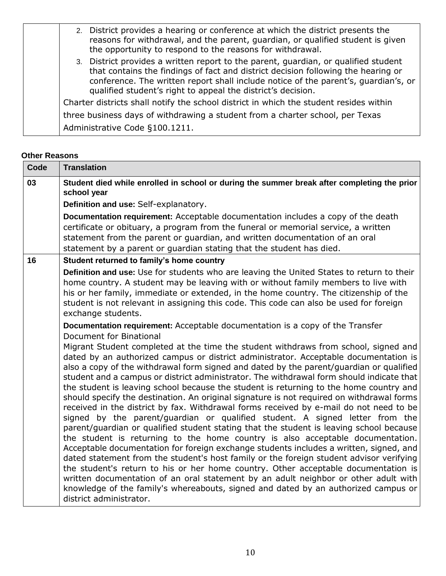| 2. District provides a hearing or conference at which the district presents the<br>reasons for withdrawal, and the parent, guardian, or qualified student is given<br>the opportunity to respond to the reasons for withdrawal.                                                                                                 |
|---------------------------------------------------------------------------------------------------------------------------------------------------------------------------------------------------------------------------------------------------------------------------------------------------------------------------------|
| 3. District provides a written report to the parent, quardian, or qualified student<br>that contains the findings of fact and district decision following the hearing or<br>conference. The written report shall include notice of the parent's, quardian's, or<br>qualified student's right to appeal the district's decision. |
| Charter districts shall notify the school district in which the student resides within                                                                                                                                                                                                                                          |
| three business days of withdrawing a student from a charter school, per Texas                                                                                                                                                                                                                                                   |
| Administrative Code §100.1211.                                                                                                                                                                                                                                                                                                  |

## **Other Reasons**

| Code | <b>Translation</b>                                                                                                                                                                                                                                                                                                                                                                                                                                                                                                                                                                                                                                                                                                                                                                                                                                                                                                                                                                                                                                                                                                                                                                                                                                                                                                                                                                                  |  |  |  |
|------|-----------------------------------------------------------------------------------------------------------------------------------------------------------------------------------------------------------------------------------------------------------------------------------------------------------------------------------------------------------------------------------------------------------------------------------------------------------------------------------------------------------------------------------------------------------------------------------------------------------------------------------------------------------------------------------------------------------------------------------------------------------------------------------------------------------------------------------------------------------------------------------------------------------------------------------------------------------------------------------------------------------------------------------------------------------------------------------------------------------------------------------------------------------------------------------------------------------------------------------------------------------------------------------------------------------------------------------------------------------------------------------------------------|--|--|--|
| 03   | Student died while enrolled in school or during the summer break after completing the prior<br>school year                                                                                                                                                                                                                                                                                                                                                                                                                                                                                                                                                                                                                                                                                                                                                                                                                                                                                                                                                                                                                                                                                                                                                                                                                                                                                          |  |  |  |
|      | Definition and use: Self-explanatory.                                                                                                                                                                                                                                                                                                                                                                                                                                                                                                                                                                                                                                                                                                                                                                                                                                                                                                                                                                                                                                                                                                                                                                                                                                                                                                                                                               |  |  |  |
|      | Documentation requirement: Acceptable documentation includes a copy of the death                                                                                                                                                                                                                                                                                                                                                                                                                                                                                                                                                                                                                                                                                                                                                                                                                                                                                                                                                                                                                                                                                                                                                                                                                                                                                                                    |  |  |  |
|      | certificate or obituary, a program from the funeral or memorial service, a written                                                                                                                                                                                                                                                                                                                                                                                                                                                                                                                                                                                                                                                                                                                                                                                                                                                                                                                                                                                                                                                                                                                                                                                                                                                                                                                  |  |  |  |
|      | statement from the parent or guardian, and written documentation of an oral<br>statement by a parent or guardian stating that the student has died.                                                                                                                                                                                                                                                                                                                                                                                                                                                                                                                                                                                                                                                                                                                                                                                                                                                                                                                                                                                                                                                                                                                                                                                                                                                 |  |  |  |
| 16   | Student returned to family's home country                                                                                                                                                                                                                                                                                                                                                                                                                                                                                                                                                                                                                                                                                                                                                                                                                                                                                                                                                                                                                                                                                                                                                                                                                                                                                                                                                           |  |  |  |
|      | Definition and use: Use for students who are leaving the United States to return to their<br>home country. A student may be leaving with or without family members to live with<br>his or her family, immediate or extended, in the home country. The citizenship of the<br>student is not relevant in assigning this code. This code can also be used for foreign<br>exchange students.<br>Documentation requirement: Acceptable documentation is a copy of the Transfer                                                                                                                                                                                                                                                                                                                                                                                                                                                                                                                                                                                                                                                                                                                                                                                                                                                                                                                           |  |  |  |
|      | Document for Binational                                                                                                                                                                                                                                                                                                                                                                                                                                                                                                                                                                                                                                                                                                                                                                                                                                                                                                                                                                                                                                                                                                                                                                                                                                                                                                                                                                             |  |  |  |
|      | Migrant Student completed at the time the student withdraws from school, signed and<br>dated by an authorized campus or district administrator. Acceptable documentation is<br>also a copy of the withdrawal form signed and dated by the parent/guardian or qualified<br>student and a campus or district administrator. The withdrawal form should indicate that<br>the student is leaving school because the student is returning to the home country and<br>should specify the destination. An original signature is not required on withdrawal forms<br>received in the district by fax. Withdrawal forms received by e-mail do not need to be<br>signed by the parent/guardian or qualified student. A signed letter from the<br>parent/guardian or qualified student stating that the student is leaving school because<br>the student is returning to the home country is also acceptable documentation.<br>Acceptable documentation for foreign exchange students includes a written, signed, and<br>dated statement from the student's host family or the foreign student advisor verifying<br>the student's return to his or her home country. Other acceptable documentation is<br>written documentation of an oral statement by an adult neighbor or other adult with<br>knowledge of the family's whereabouts, signed and dated by an authorized campus or<br>district administrator. |  |  |  |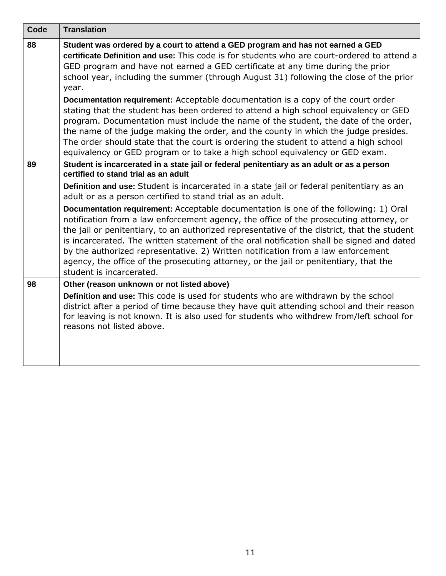| Code | <b>Translation</b>                                                                                                                                                                                                                                                                                                                                                                                                                                                                                                                                                                  |  |  |
|------|-------------------------------------------------------------------------------------------------------------------------------------------------------------------------------------------------------------------------------------------------------------------------------------------------------------------------------------------------------------------------------------------------------------------------------------------------------------------------------------------------------------------------------------------------------------------------------------|--|--|
| 88   | Student was ordered by a court to attend a GED program and has not earned a GED<br>certificate Definition and use: This code is for students who are court-ordered to attend a<br>GED program and have not earned a GED certificate at any time during the prior<br>school year, including the summer (through August 31) following the close of the prior<br>year.                                                                                                                                                                                                                 |  |  |
|      | <b>Documentation requirement:</b> Acceptable documentation is a copy of the court order<br>stating that the student has been ordered to attend a high school equivalency or GED<br>program. Documentation must include the name of the student, the date of the order,<br>the name of the judge making the order, and the county in which the judge presides.<br>The order should state that the court is ordering the student to attend a high school<br>equivalency or GED program or to take a high school equivalency or GED exam.                                              |  |  |
| 89   | Student is incarcerated in a state jail or federal penitentiary as an adult or as a person<br>certified to stand trial as an adult                                                                                                                                                                                                                                                                                                                                                                                                                                                  |  |  |
|      | Definition and use: Student is incarcerated in a state jail or federal penitentiary as an<br>adult or as a person certified to stand trial as an adult.                                                                                                                                                                                                                                                                                                                                                                                                                             |  |  |
|      | Documentation requirement: Acceptable documentation is one of the following: 1) Oral<br>notification from a law enforcement agency, the office of the prosecuting attorney, or<br>the jail or penitentiary, to an authorized representative of the district, that the student<br>is incarcerated. The written statement of the oral notification shall be signed and dated<br>by the authorized representative. 2) Written notification from a law enforcement<br>agency, the office of the prosecuting attorney, or the jail or penitentiary, that the<br>student is incarcerated. |  |  |
| 98   | Other (reason unknown or not listed above)                                                                                                                                                                                                                                                                                                                                                                                                                                                                                                                                          |  |  |
|      | Definition and use: This code is used for students who are withdrawn by the school<br>district after a period of time because they have quit attending school and their reason<br>for leaving is not known. It is also used for students who withdrew from/left school for<br>reasons not listed above.                                                                                                                                                                                                                                                                             |  |  |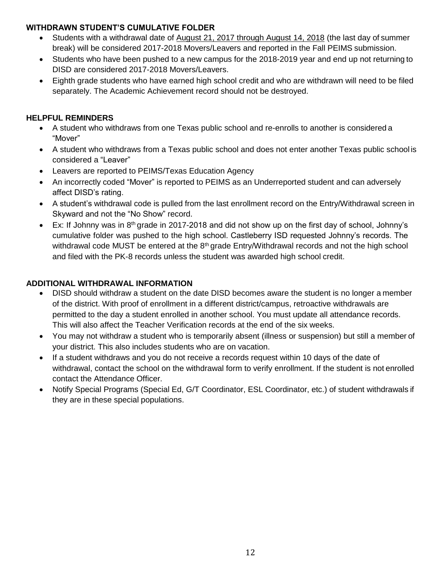### <span id="page-13-0"></span>**WITHDRAWN STUDENT'S CUMULATIVE FOLDER**

- Students with a withdrawal date of August 21, 2017 through August 14, 2018 (the last day of summer break) will be considered 2017-2018 Movers/Leavers and reported in the Fall PEIMS submission.
- Students who have been pushed to a new campus for the 2018-2019 year and end up not returning to DISD are considered 2017-2018 Movers/Leavers.
- Eighth grade students who have earned high school credit and who are withdrawn will need to be filed separately. The Academic Achievement record should not be destroyed.

## <span id="page-13-1"></span>**HELPFUL REMINDERS**

- A student who withdraws from one Texas public school and re-enrolls to another is considered a "Mover"
- A student who withdraws from a Texas public school and does not enter another Texas public school is considered a "Leaver"
- Leavers are reported to PEIMS/Texas Education Agency
- An incorrectly coded "Mover" is reported to PEIMS as an Underreported student and can adversely affect DISD's rating.
- A student's withdrawal code is pulled from the last enrollment record on the Entry/Withdrawal screen in Skyward and not the "No Show" record.
- Ex: If Johnny was in 8<sup>th</sup> grade in 2017-2018 and did not show up on the first day of school, Johnny's cumulative folder was pushed to the high school. Castleberry ISD requested Johnny's records. The withdrawal code MUST be entered at the 8<sup>th</sup> grade Entry/Withdrawal records and not the high school and filed with the PK-8 records unless the student was awarded high school credit.

#### <span id="page-13-2"></span>**ADDITIONAL WITHDRAWAL INFORMATION**

- DISD should withdraw a student on the date DISD becomes aware the student is no longer a member of the district. With proof of enrollment in a different district/campus, retroactive withdrawals are permitted to the day a student enrolled in another school. You must update all attendance records. This will also affect the Teacher Verification records at the end of the six weeks.
- You may not withdraw a student who is temporarily absent (illness or suspension) but still a member of your district. This also includes students who are on vacation.
- If a student withdraws and you do not receive a records request within 10 days of the date of withdrawal, contact the school on the withdrawal form to verify enrollment. If the student is not enrolled contact the Attendance Officer.
- <span id="page-13-3"></span> Notify Special Programs (Special Ed, G/T Coordinator, ESL Coordinator, etc.) of student withdrawals if they are in these special populations.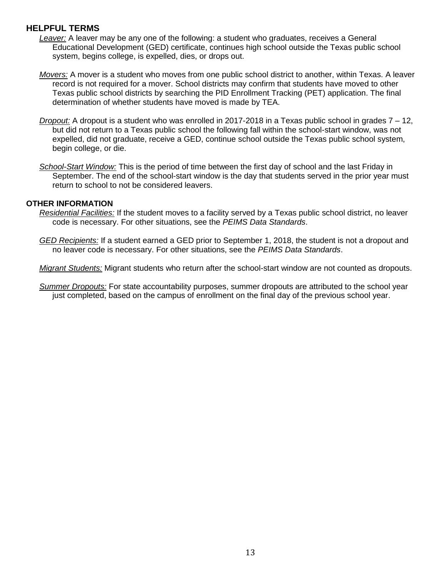### **HELPFUL TERMS**

- *Leaver:* A leaver may be any one of the following: a student who graduates, receives a General Educational Development (GED) certificate, continues high school outside the Texas public school system, begins college, is expelled, dies, or drops out.
- *Movers:* A mover is a student who moves from one public school district to another, within Texas. A leaver record is not required for a mover. School districts may confirm that students have moved to other Texas public school districts by searching the PID Enrollment Tracking (PET) application. The final determination of whether students have moved is made by TEA.
- *Dropout:* A dropout is a student who was enrolled in 2017-2018 in a Texas public school in grades 7 12, but did not return to a Texas public school the following fall within the school-start window, was not expelled, did not graduate, receive a GED, continue school outside the Texas public school system, begin college, or die.
- *School-Start Window:* This is the period of time between the first day of school and the last Friday in September. The end of the school-start window is the day that students served in the prior year must return to school to not be considered leavers.

#### **OTHER INFORMATION**

- *Residential Facilities:* If the student moves to a facility served by a Texas public school district, no leaver code is necessary. For other situations, see the *PEIMS Data Standards*.
- *GED Recipients:* If a student earned a GED prior to September 1, 2018, the student is not a dropout and no leaver code is necessary. For other situations, see the *PEIMS Data Standards*.
- *Migrant Students:* Migrant students who return after the school-start window are not counted as dropouts.

*Summer Dropouts:* For state accountability purposes, summer dropouts are attributed to the school year just completed, based on the campus of enrollment on the final day of the previous school year.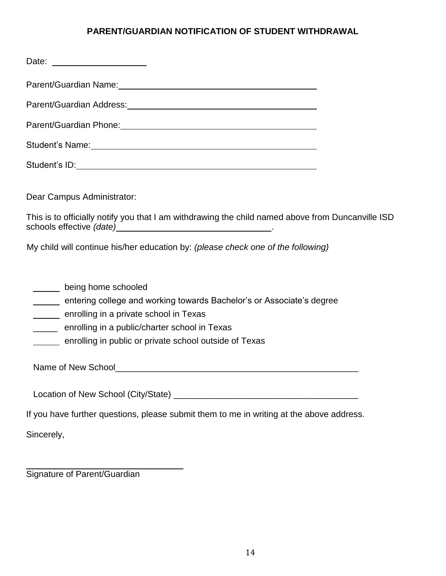## **PARENT/GUARDIAN NOTIFICATION OF STUDENT WITHDRAWAL**

<span id="page-15-0"></span>

| Parent/Guardian Name: 1997 - 2008 - 2010 - 2010 - 2010 - 2010 - 2010 - 2010 - 2010 - 2010 - 2010 - 2010 - 201                                                                                                                                     |
|---------------------------------------------------------------------------------------------------------------------------------------------------------------------------------------------------------------------------------------------------|
|                                                                                                                                                                                                                                                   |
|                                                                                                                                                                                                                                                   |
| Student's Name: <u>Communications</u> Communications of the Communications of the Communications of the Communications of the Communications of the Communications of the Communications of the Communications of the Communication               |
|                                                                                                                                                                                                                                                   |
| Dear Campus Administrator:                                                                                                                                                                                                                        |
| This is to officially notify you that I am withdrawing the child named above from Duncanville ISD                                                                                                                                                 |
| My child will continue his/her education by: (please check one of the following)                                                                                                                                                                  |
| being home schooled<br>entering college and working towards Bachelor's or Associate's degree<br>enrolling in a private school in Texas<br>enrolling in a public/charter school in Texas<br>enrolling in public or private school outside of Texas |
| If you have further questions, please submit them to me in writing at the above address.                                                                                                                                                          |
| Sincerely,                                                                                                                                                                                                                                        |
| Signature of Parent/Guardian                                                                                                                                                                                                                      |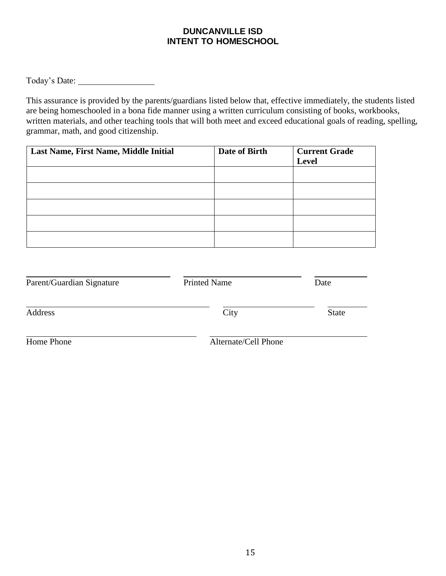#### <span id="page-16-0"></span>**DUNCANVILLE ISD INTENT TO HOMESCHOOL**

Today's Date:

This assurance is provided by the parents/guardians listed below that, effective immediately, the students listed are being homeschooled in a bona fide manner using a written curriculum consisting of books, workbooks, written materials, and other teaching tools that will both meet and exceed educational goals of reading, spelling, grammar, math, and good citizenship.

| Last Name, First Name, Middle Initial | Date of Birth | <b>Current Grade</b> |
|---------------------------------------|---------------|----------------------|
|                                       |               | Level                |
|                                       |               |                      |
|                                       |               |                      |
|                                       |               |                      |
|                                       |               |                      |
|                                       |               |                      |
|                                       |               |                      |
|                                       |               |                      |
|                                       |               |                      |

| Parent/Guardian Signature | <b>Printed Name</b>  | Date         |
|---------------------------|----------------------|--------------|
| Address                   | City                 | <b>State</b> |
| Home Phone                | Alternate/Cell Phone |              |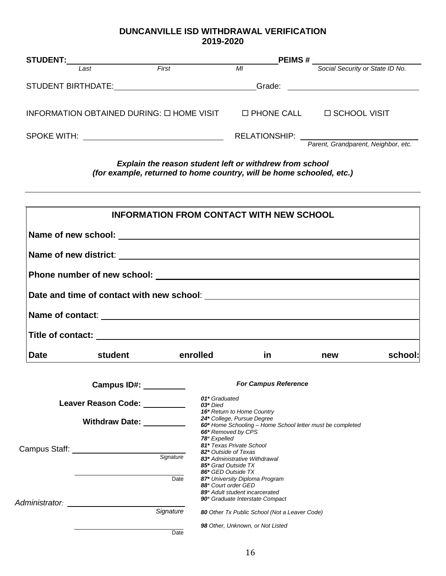## **DUNCANVILLE ISD WITHDRAWAL VERIFICATION 2019-2020**

| <b>STUDENT:</b>           |                                           |       | <b>PEIMS#</b>        |                                     |  |
|---------------------------|-------------------------------------------|-------|----------------------|-------------------------------------|--|
|                           | Last                                      | First | MI                   | Social Security or State ID No.     |  |
| <b>STUDENT BIRTHDATE:</b> |                                           |       | Grade:               |                                     |  |
|                           | INFORMATION OBTAINED DURING: O HOME VISIT |       | $\Box$ PHONE CALL    | □ SCHOOL VISIT                      |  |
| <b>SPOKE WITH:</b>        |                                           |       | <b>RELATIONSHIP:</b> | Parent, Grandparent, Neighbor, etc. |  |

*Explain the reason student left or withdrew from school (for example, returned to home country, will be home schooled, etc.)*

|             |                                         |                             | <b>INFORMATION FROM CONTACT WITH NEW SCHOOL</b>                                                               |                                                           |         |
|-------------|-----------------------------------------|-----------------------------|---------------------------------------------------------------------------------------------------------------|-----------------------------------------------------------|---------|
|             | Name of new school: Name of new school: |                             |                                                                                                               |                                                           |         |
|             |                                         |                             |                                                                                                               |                                                           |         |
|             |                                         |                             |                                                                                                               |                                                           |         |
|             |                                         |                             |                                                                                                               |                                                           |         |
|             |                                         |                             |                                                                                                               |                                                           |         |
|             |                                         |                             |                                                                                                               |                                                           |         |
| <b>Date</b> | student                                 | <b>Example 1</b> controlled | <u>in</u>                                                                                                     | new                                                       | school: |
|             | <b>Campus ID#: _________</b>            |                             | <b>For Campus Reference</b>                                                                                   |                                                           |         |
|             | Leaver Reason Code: _________           | $03*$ Died                  | 01* Graduated                                                                                                 |                                                           |         |
|             | Withdraw Date: _________                |                             | 16* Return to Home Country<br>24* College, Pursue Degree<br>66* Removed by CPS                                | 60* Home Schooling - Home School letter must be completed |         |
|             |                                         |                             | 78* Expelled<br>81* Texas Private School                                                                      |                                                           |         |
|             |                                         |                             | 82* Outside of Texas<br>83* Administrative Withdrawal<br>85* Grad Outside TX                                  |                                                           |         |
|             |                                         | Date                        | 86* GED Outside TX<br>87* University Diploma Program<br>88* Court order GED<br>89* Adult student incarcerated |                                                           |         |
|             | Administrator: Analyze Administrator:   |                             | 90* Graduate Interstate Compact                                                                               |                                                           |         |
|             |                                         | Signature                   | 80 Other Tx Public School (Not a Leaver Code)                                                                 |                                                           |         |
|             |                                         | Date                        | 98 Other, Unknown, or Not Listed                                                                              |                                                           |         |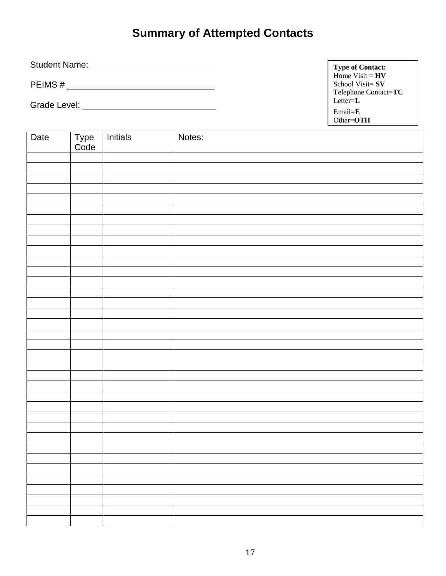# **Summary of Attempted Contacts**

<span id="page-18-0"></span>Student Name:

PEIMS #

Grade Level:

**Type of Contact:**  Home  $Visit = HV$ School Visit= **SV**  Telephone Contact=**TC**  Letter=**L** Email=**E** Other=**OTH**

| Date | Type<br>Code | Initials | Notes: |
|------|--------------|----------|--------|
|      |              |          |        |
|      |              |          |        |
|      |              |          |        |
|      |              |          |        |
|      |              |          |        |
|      |              |          |        |
|      |              |          |        |
|      |              |          |        |
|      |              |          |        |
|      |              |          |        |
|      |              |          |        |
|      |              |          |        |
|      |              |          |        |
|      |              |          |        |
|      |              |          |        |
|      |              |          |        |
|      |              |          |        |
|      |              |          |        |
|      |              |          |        |
|      |              |          |        |
|      |              |          |        |
|      |              |          |        |
|      |              |          |        |
|      |              |          |        |
|      |              |          |        |
|      |              |          |        |
|      |              |          |        |
|      |              |          |        |
|      |              |          |        |
|      |              |          |        |
|      |              |          |        |
|      |              |          |        |
|      |              |          |        |